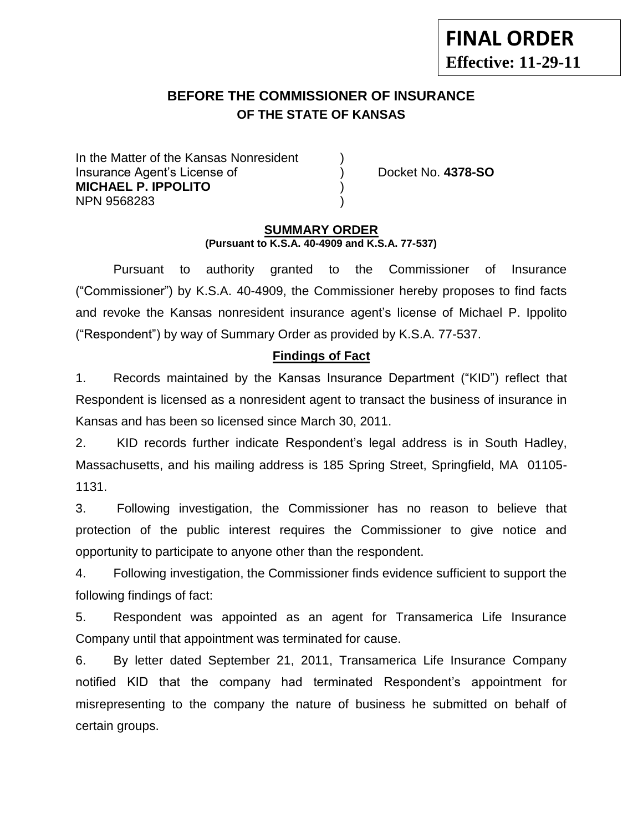## **BEFORE THE COMMISSIONER OF INSURANCE OF THE STATE OF KANSAS**

In the Matter of the Kansas Nonresident Insurance Agent's License of ) Docket No. **4378-SO MICHAEL P. IPPOLITO** ) NPN 9568283 )

#### **SUMMARY ORDER (Pursuant to K.S.A. 40-4909 and K.S.A. 77-537)**

Pursuant to authority granted to the Commissioner of Insurance ("Commissioner") by K.S.A. 40-4909, the Commissioner hereby proposes to find facts and revoke the Kansas nonresident insurance agent's license of Michael P. Ippolito ("Respondent") by way of Summary Order as provided by K.S.A. 77-537.

#### **Findings of Fact**

1. Records maintained by the Kansas Insurance Department ("KID") reflect that Respondent is licensed as a nonresident agent to transact the business of insurance in Kansas and has been so licensed since March 30, 2011.

2. KID records further indicate Respondent's legal address is in South Hadley, Massachusetts, and his mailing address is 185 Spring Street, Springfield, MA 01105- 1131.

3. Following investigation, the Commissioner has no reason to believe that protection of the public interest requires the Commissioner to give notice and opportunity to participate to anyone other than the respondent.

4. Following investigation, the Commissioner finds evidence sufficient to support the following findings of fact:

5. Respondent was appointed as an agent for Transamerica Life Insurance Company until that appointment was terminated for cause.

6. By letter dated September 21, 2011, Transamerica Life Insurance Company notified KID that the company had terminated Respondent's appointment for misrepresenting to the company the nature of business he submitted on behalf of certain groups.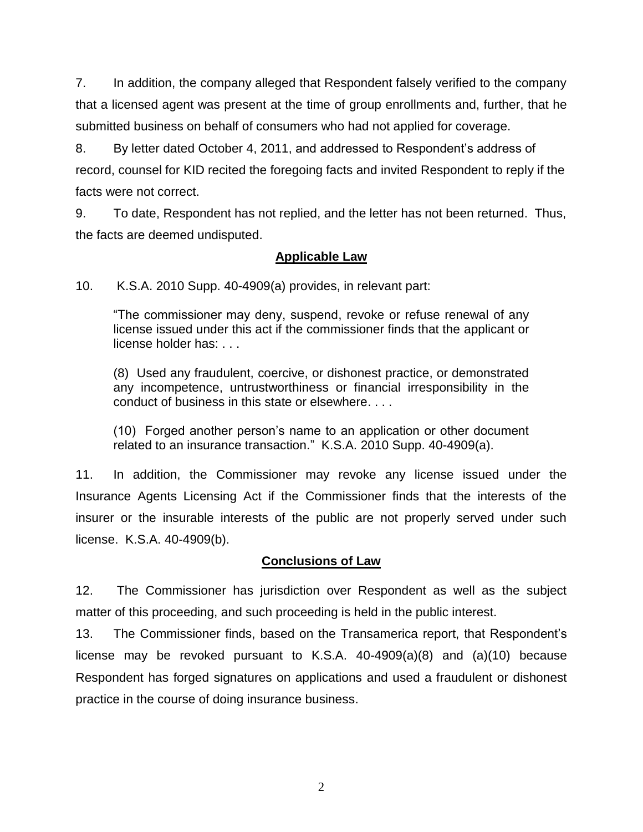7. In addition, the company alleged that Respondent falsely verified to the company that a licensed agent was present at the time of group enrollments and, further, that he submitted business on behalf of consumers who had not applied for coverage.

8. By letter dated October 4, 2011, and addressed to Respondent's address of record, counsel for KID recited the foregoing facts and invited Respondent to reply if the facts were not correct.

9. To date, Respondent has not replied, and the letter has not been returned. Thus, the facts are deemed undisputed.

## **Applicable Law**

10. K.S.A. 2010 Supp. 40-4909(a) provides, in relevant part:

"The commissioner may deny, suspend, revoke or refuse renewal of any license issued under this act if the commissioner finds that the applicant or license holder has: . . .

(8) Used any fraudulent, coercive, or dishonest practice, or demonstrated any incompetence, untrustworthiness or financial irresponsibility in the conduct of business in this state or elsewhere. . . .

(10) Forged another person's name to an application or other document related to an insurance transaction." K.S.A. 2010 Supp. 40-4909(a).

11. In addition, the Commissioner may revoke any license issued under the Insurance Agents Licensing Act if the Commissioner finds that the interests of the insurer or the insurable interests of the public are not properly served under such license. K.S.A. 40-4909(b).

## **Conclusions of Law**

12. The Commissioner has jurisdiction over Respondent as well as the subject matter of this proceeding, and such proceeding is held in the public interest.

13. The Commissioner finds, based on the Transamerica report, that Respondent's license may be revoked pursuant to K.S.A. 40-4909(a)(8) and (a)(10) because Respondent has forged signatures on applications and used a fraudulent or dishonest practice in the course of doing insurance business.

2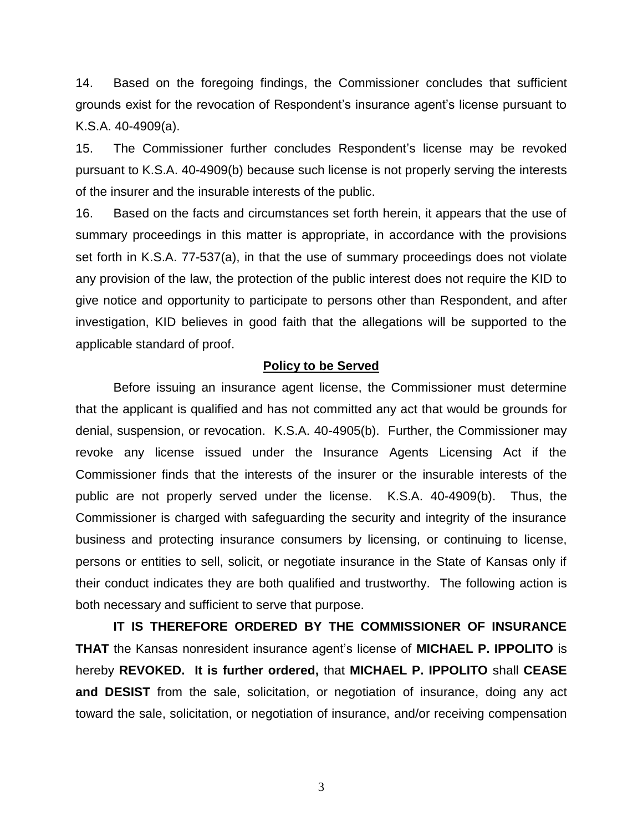14. Based on the foregoing findings, the Commissioner concludes that sufficient grounds exist for the revocation of Respondent's insurance agent's license pursuant to K.S.A. 40-4909(a).

15. The Commissioner further concludes Respondent's license may be revoked pursuant to K.S.A. 40-4909(b) because such license is not properly serving the interests of the insurer and the insurable interests of the public.

16. Based on the facts and circumstances set forth herein, it appears that the use of summary proceedings in this matter is appropriate, in accordance with the provisions set forth in K.S.A. 77-537(a), in that the use of summary proceedings does not violate any provision of the law, the protection of the public interest does not require the KID to give notice and opportunity to participate to persons other than Respondent, and after investigation, KID believes in good faith that the allegations will be supported to the applicable standard of proof.

#### **Policy to be Served**

Before issuing an insurance agent license, the Commissioner must determine that the applicant is qualified and has not committed any act that would be grounds for denial, suspension, or revocation. K.S.A. 40-4905(b). Further, the Commissioner may revoke any license issued under the Insurance Agents Licensing Act if the Commissioner finds that the interests of the insurer or the insurable interests of the public are not properly served under the license. K.S.A. 40-4909(b). Thus, the Commissioner is charged with safeguarding the security and integrity of the insurance business and protecting insurance consumers by licensing, or continuing to license, persons or entities to sell, solicit, or negotiate insurance in the State of Kansas only if their conduct indicates they are both qualified and trustworthy. The following action is both necessary and sufficient to serve that purpose.

**IT IS THEREFORE ORDERED BY THE COMMISSIONER OF INSURANCE THAT** the Kansas nonresident insurance agent's license of **MICHAEL P. IPPOLITO** is hereby **REVOKED. It is further ordered,** that **MICHAEL P. IPPOLITO** shall **CEASE and DESIST** from the sale, solicitation, or negotiation of insurance, doing any act toward the sale, solicitation, or negotiation of insurance, and/or receiving compensation

3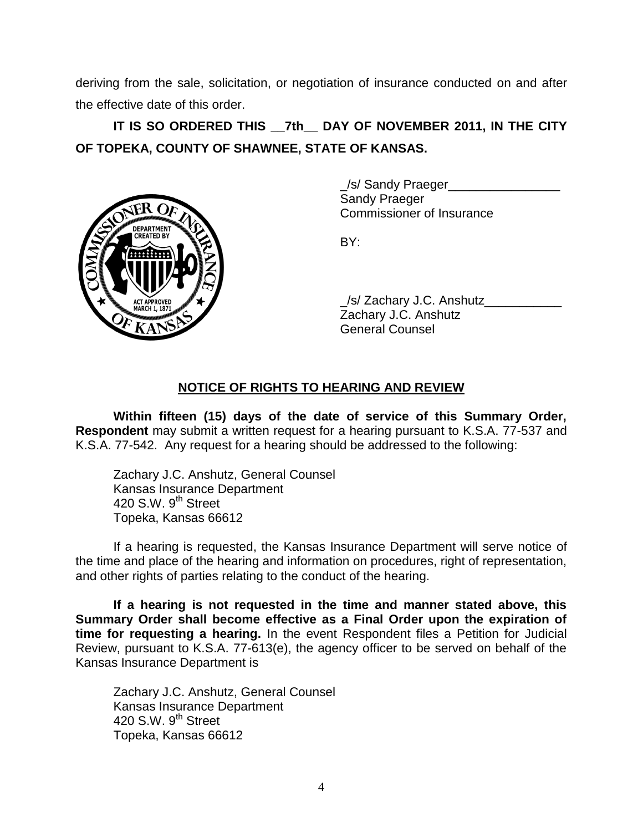deriving from the sale, solicitation, or negotiation of insurance conducted on and after the effective date of this order.

# **IT IS SO ORDERED THIS \_\_7th\_\_ DAY OF NOVEMBER 2011, IN THE CITY OF TOPEKA, COUNTY OF SHAWNEE, STATE OF KANSAS.**



\_/s/ Sandy Praeger\_\_\_\_\_\_\_\_\_\_\_\_\_\_\_\_ Sandy Praeger Commissioner of Insurance

BY:

/s/ Zachary J.C. Anshutz Zachary J.C. Anshutz General Counsel

## **NOTICE OF RIGHTS TO HEARING AND REVIEW**

**Within fifteen (15) days of the date of service of this Summary Order, Respondent** may submit a written request for a hearing pursuant to K.S.A. 77-537 and K.S.A. 77-542. Any request for a hearing should be addressed to the following:

Zachary J.C. Anshutz, General Counsel Kansas Insurance Department 420 S.W.  $9<sup>th</sup>$  Street Topeka, Kansas 66612

If a hearing is requested, the Kansas Insurance Department will serve notice of the time and place of the hearing and information on procedures, right of representation, and other rights of parties relating to the conduct of the hearing.

**If a hearing is not requested in the time and manner stated above, this Summary Order shall become effective as a Final Order upon the expiration of time for requesting a hearing.** In the event Respondent files a Petition for Judicial Review, pursuant to K.S.A. 77-613(e), the agency officer to be served on behalf of the Kansas Insurance Department is

Zachary J.C. Anshutz, General Counsel Kansas Insurance Department 420 S.W.  $9<sup>th</sup>$  Street Topeka, Kansas 66612